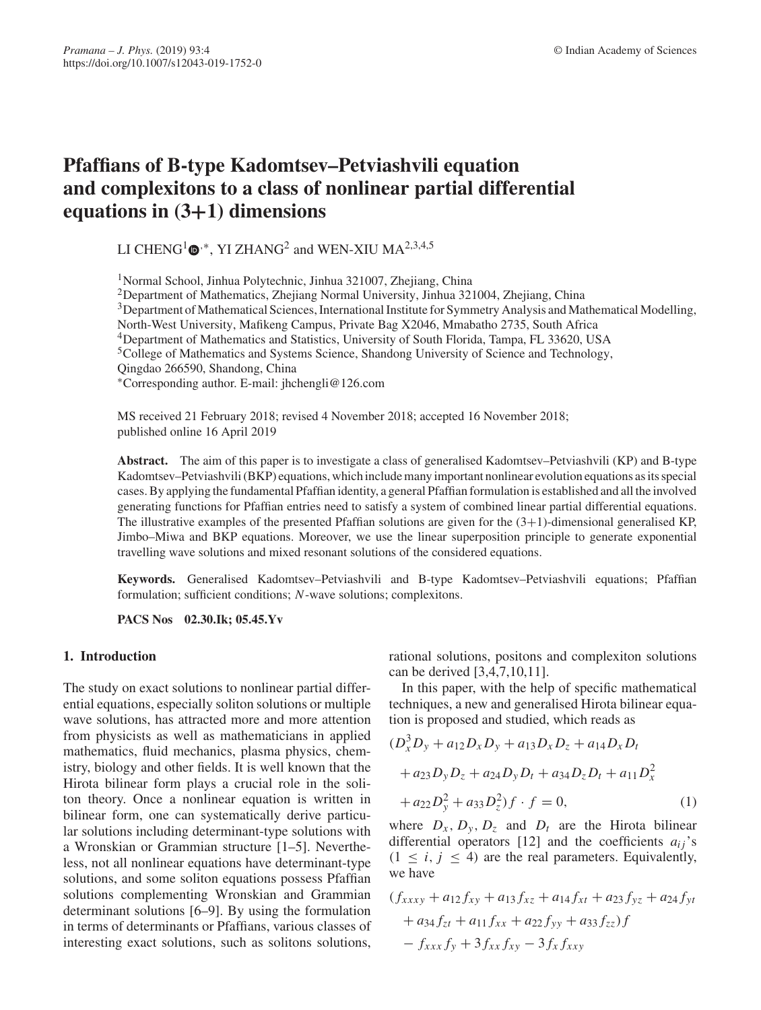# **Pfaffians of B-type Kadomtsev–Petviashvili equation and complexitons to a class of nonlinear partial differential equations in (3+1) dimensions**

LI CHENG<sup>1</sup>  $\Phi$ <sup>,∗</sup>, YI ZHANG<sup>2</sup> and WEN-XIU MA<sup>2,3,4,5</sup>

1Normal School, Jinhua Polytechnic, Jinhua 321007, Zhejiang, China

2Department of Mathematics, Zhejiang Normal University, Jinhua 321004, Zhejiang, China

3Department of Mathematical Sciences, International Institute for Symmetry Analysis and Mathematical Modelling,

North-West University, Mafikeng Campus, Private Bag X2046, Mmabatho 2735, South Africa

4Department of Mathematics and Statistics, University of South Florida, Tampa, FL 33620, USA

5College of Mathematics and Systems Science, Shandong University of Science and Technology,

Qingdao 266590, Shandong, China

∗Corresponding author. E-mail: jhchengli@126.com

MS received 21 February 2018; revised 4 November 2018; accepted 16 November 2018; published online 16 April 2019

**Abstract.** The aim of this paper is to investigate a class of generalised Kadomtsev–Petviashvili (KP) and B-type Kadomtsev–Petviashvili (BKP) equations, which include many important nonlinear evolution equations as its special cases. By applying the fundamental Pfaffian identity, a general Pfaffian formulation is established and all the involved generating functions for Pfaffian entries need to satisfy a system of combined linear partial differential equations. The illustrative examples of the presented Pfaffian solutions are given for the  $(3+1)$ -dimensional generalised KP, Jimbo–Miwa and BKP equations. Moreover, we use the linear superposition principle to generate exponential travelling wave solutions and mixed resonant solutions of the considered equations.

**Keywords.** Generalised Kadomtsev–Petviashvili and B-type Kadomtsev–Petviashvili equations; Pfaffian formulation; sufficient conditions; *N*-wave solutions; complexitons.

**PACS Nos 02.30.Ik; 05.45.Yv**

#### **1. Introduction**

The study on exact solutions to nonlinear partial differential equations, especially soliton solutions or multiple wave solutions, has attracted more and more attention from physicists as well as mathematicians in applied mathematics, fluid mechanics, plasma physics, chemistry, biology and other fields. It is well known that the Hirota bilinear form plays a crucial role in the soliton theory. Once a nonlinear equation is written in bilinear form, one can systematically derive particular solutions including determinant-type solutions with a Wronskian or Grammian structure [1–5]. Nevertheless, not all nonlinear equations have determinant-type solutions, and some soliton equations possess Pfaffian solutions complementing Wronskian and Grammian determinant solutions [6–9]. By using the formulation in terms of determinants or Pfaffians, various classes of interesting exact solutions, such as solitons solutions, rational solutions, positons and complexiton solutions can be derived [3,4,7,10,11].

In this paper, with the help of specific mathematical techniques, a new and generalised Hirota bilinear equation is proposed and studied, which reads as

$$
(D_x^3 D_y + a_{12} D_x D_y + a_{13} D_x D_z + a_{14} D_x D_t
$$
  
+  $a_{23} D_y D_z + a_{24} D_y D_t + a_{34} D_z D_t + a_{11} D_x^2$   
+  $a_{22} D_y^2 + a_{33} D_z^2 f \cdot f = 0,$  (1)

where  $D_x$ ,  $D_y$ ,  $D_z$  and  $D_t$  are the Hirota bilinear differential operators [12] and the coefficients  $a_{ij}$ 's  $(1 \leq i, j \leq 4)$  are the real parameters. Equivalently, we have

$$
(f_{xxxy} + a_{12}f_{xy} + a_{13}f_{xz} + a_{14}f_{xt} + a_{23}f_{yz} + a_{24}f_{yt}
$$
  
+ a\_{34}f\_{zt} + a\_{11}f\_{xx} + a\_{22}f\_{yy} + a\_{33}f\_{zz})f  
- f\_{xxx}f\_y + 3f\_{xx}f\_{xy} - 3f\_xf\_{xxy}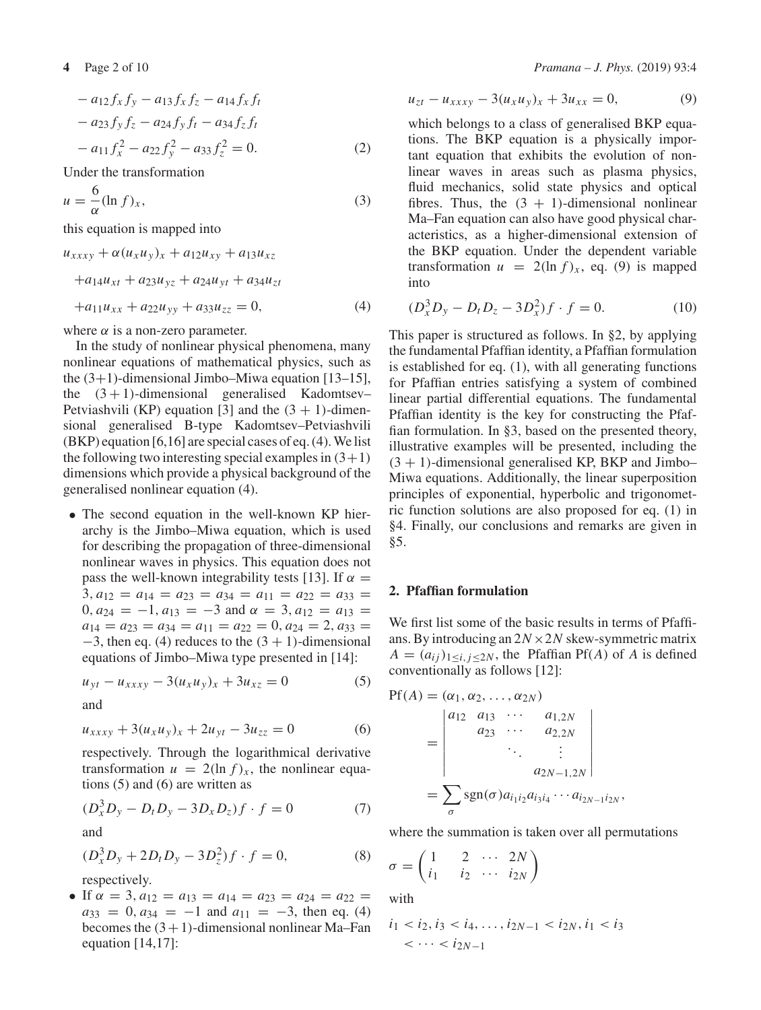$$
- a_{12} f_x f_y - a_{13} f_x f_z - a_{14} f_x f_t - a_{23} f_y f_z - a_{24} f_y f_t - a_{34} f_z f_t - a_{11} f_x^2 - a_{22} f_y^2 - a_{33} f_z^2 = 0.
$$
 (2)

Under the transformation

$$
u = -\frac{6}{\alpha} (\ln f)_x,\tag{3}
$$

this equation is mapped into

$$
u_{xxxxy} + \alpha (u_x u_y)_x + a_{12} u_{xy} + a_{13} u_{xz}
$$
  
+a\_{14} u\_{xt} + a\_{23} u\_{yz} + a\_{24} u\_{yt} + a\_{34} u\_{zt}  
+a\_{11} u\_{xx} + a\_{22} u\_{yy} + a\_{33} u\_{zz} = 0, (4)

where  $\alpha$  is a non-zero parameter.

In the study of nonlinear physical phenomena, many nonlinear equations of mathematical physics, such as the  $(3+1)$ -dimensional Jimbo–Miwa equation [13–15], the  $(3 + 1)$ -dimensional generalised Kadomtsev– Petviashvili (KP) equation [3] and the  $(3 + 1)$ -dimensional generalised B-type Kadomtsev–Petviashvili (BKP) equation [6,16] are special cases of eq. (4). We list the following two interesting special examples in  $(3+1)$ dimensions which provide a physical background of the generalised nonlinear equation (4).

• The second equation in the well-known KP hierarchy is the Jimbo–Miwa equation, which is used for describing the propagation of three-dimensional nonlinear waves in physics. This equation does not pass the well-known integrability tests [13]. If  $\alpha =$  $3, a_{12} = a_{14} = a_{23} = a_{34} = a_{11} = a_{22} = a_{33} =$ 0,  $a_{24} = -1$ ,  $a_{13} = -3$  and  $\alpha = 3$ ,  $a_{12} = a_{13} =$  $a_{14} = a_{23} = a_{34} = a_{11} = a_{22} = 0, a_{24} = 2, a_{33} =$  $-3$ , then eq. (4) reduces to the  $(3 + 1)$ -dimensional equations of Jimbo–Miwa type presented in [14]:

$$
u_{yt} - u_{xxxy} - 3(u_x u_y)_x + 3u_{xz} = 0 \tag{5}
$$

and

$$
u_{xxxx} + 3(u_x u_y)_x + 2u_{yt} - 3u_{zz} = 0 \tag{6}
$$

respectively. Through the logarithmical derivative transformation  $u = 2(\ln f)_x$ , the nonlinear equations (5) and (6) are written as

$$
(D_x^3 D_y - D_t D_y - 3D_x D_z)f \cdot f = 0 \tag{7}
$$

and

$$
(D_x^3 D_y + 2D_t D_y - 3D_z^2) f \cdot f = 0,
$$
\n(8)

respectively.

• If  $\alpha = 3$ ,  $a_{12} = a_{13} = a_{14} = a_{23} = a_{24} = a_{22} =$  $a_{33} = 0, a_{34} = -1$  and  $a_{11} = -3$ , then eq. (4) becomes the  $(3 + 1)$ -dimensional nonlinear Ma–Fan equation [14,17]:

$$
u_{zt} - u_{xxxy} - 3(u_x u_y)_x + 3u_{xx} = 0, \tag{9}
$$

which belongs to a class of generalised BKP equations. The BKP equation is a physically important equation that exhibits the evolution of nonlinear waves in areas such as plasma physics, fluid mechanics, solid state physics and optical fibres. Thus, the  $(3 + 1)$ -dimensional nonlinear Ma–Fan equation can also have good physical characteristics, as a higher-dimensional extension of the BKP equation. Under the dependent variable transformation  $u = 2(\ln f)_x$ , eq. (9) is mapped into

$$
(D_x^3 D_y - D_t D_z - 3D_x^2) f \cdot f = 0.
$$
 (10)

This paper is structured as follows. In §2, by applying the fundamental Pfaffian identity, a Pfaffian formulation is established for eq. (1), with all generating functions for Pfaffian entries satisfying a system of combined linear partial differential equations. The fundamental Pfaffian identity is the key for constructing the Pfaffian formulation. In §3, based on the presented theory, illustrative examples will be presented, including the  $(3 + 1)$ -dimensional generalised KP, BKP and Jimbo– Miwa equations. Additionally, the linear superposition principles of exponential, hyperbolic and trigonometric function solutions are also proposed for eq. (1) in §4. Finally, our conclusions and remarks are given in §5.

#### **2. Pfaffian formulation**

We first list some of the basic results in terms of Pfaffians. By introducing an  $2N \times 2N$  skew-symmetric matrix  $A = (a_{ij})_{1 \le i, j \le 2N}$ , the Pfaffian Pf(*A*) of *A* is defined conventionally as follows [12]:

$$
Pf(A) = (\alpha_1, \alpha_2, ..., \alpha_{2N})
$$
  
= 
$$
\begin{vmatrix} a_{12} & a_{13} & \cdots & a_{1,2N} \\ a_{23} & \cdots & a_{2,2N} \\ & \ddots & \vdots \\ & & a_{2N-1,2N} \end{vmatrix}
$$
  
= 
$$
\sum_{\sigma} sgn(\sigma) a_{i_1 i_2} a_{i_3 i_4} \cdots a_{i_{2N-1} i_{2N}},
$$

where the summation is taken over all permutations

$$
\sigma = \begin{pmatrix} 1 & 2 & \cdots & 2N \\ i_1 & i_2 & \cdots & i_{2N} \end{pmatrix}
$$

with

$$
i_1 < i_2, i_3 < i_4, \dots, i_{2N-1} < i_{2N}, i_1 < i_3 \\
&< \dots < i_{2N-1}
$$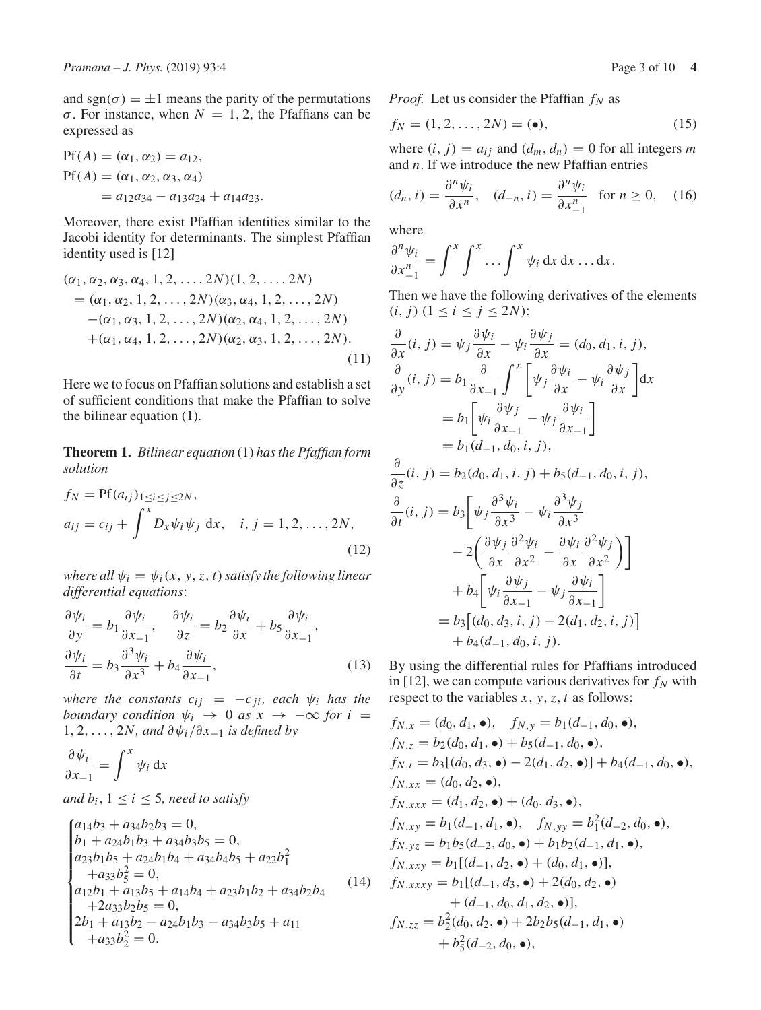and sgn( $\sigma$ ) =  $\pm$ 1 means the parity of the permutations σ. For instance, when *N* = 1, 2, the Pfaffians can be expressed as

$$
Pf(A) = (\alpha_1, \alpha_2) = a_{12},
$$
  
\n
$$
Pf(A) = (\alpha_1, \alpha_2, \alpha_3, \alpha_4)
$$
  
\n
$$
= a_{12}a_{34} - a_{13}a_{24} + a_{14}a_{23}.
$$

Moreover, there exist Pfaffian identities similar to the Jacobi identity for determinants. The simplest Pfaffian identity used is [12]

$$
(\alpha_1, \alpha_2, \alpha_3, \alpha_4, 1, 2, ..., 2N)(1, 2, ..., 2N)
$$
  
=  $(\alpha_1, \alpha_2, 1, 2, ..., 2N)(\alpha_3, \alpha_4, 1, 2, ..., 2N)$   
 $-(\alpha_1, \alpha_3, 1, 2, ..., 2N)(\alpha_2, \alpha_4, 1, 2, ..., 2N)$   
 $+(\alpha_1, \alpha_4, 1, 2, ..., 2N)(\alpha_2, \alpha_3, 1, 2, ..., 2N).$  (11)

Here we to focus on Pfaffian solutions and establish a set of sufficient conditions that make the Pfaffian to solve the bilinear equation (1).

**Theorem 1.** *Bilinear equation* (1) *has the Pfaffian form solution*

$$
f_N = \text{Pf}(a_{ij})_{1 \le i \le j \le 2N},
$$
  
\n
$$
a_{ij} = c_{ij} + \int^x D_x \psi_i \psi_j \, dx, \quad i, j = 1, 2, ..., 2N,
$$
\n(12)

*where all*  $\psi_i = \psi_i(x, y, z, t)$  *satisfy the following linear differential equations*:

$$
\frac{\partial \psi_i}{\partial y} = b_1 \frac{\partial \psi_i}{\partial x_{-1}}, \quad \frac{\partial \psi_i}{\partial z} = b_2 \frac{\partial \psi_i}{\partial x} + b_5 \frac{\partial \psi_i}{\partial x_{-1}},
$$
  

$$
\frac{\partial \psi_i}{\partial t} = b_3 \frac{\partial^3 \psi_i}{\partial x^3} + b_4 \frac{\partial \psi_i}{\partial x_{-1}},
$$
 (13)

*where the constants*  $c_{ij} = -c_{ji}$ *, each*  $\psi_i$  *has the boundary condition*  $\psi_i \rightarrow 0$  *as*  $x \rightarrow -\infty$  *for*  $i =$ 1, 2,..., 2*N, and* ∂ψ*<sup>i</sup>* /∂*x*−<sup>1</sup> *is defined by*

$$
\frac{\partial \psi_i}{\partial x_{-1}} = \int^x \psi_i \, \mathrm{d}x
$$

*and*  $b_i$ ,  $1 \leq i \leq 5$ *, need to satisfy* 

$$
\begin{cases}\na_{14}b_3 + a_{34}b_2b_3 = 0, \\
b_1 + a_{24}b_1b_3 + a_{34}b_3b_5 = 0, \\
a_{23}b_1b_5 + a_{24}b_1b_4 + a_{34}b_4b_5 + a_{22}b_1^2 \\
+a_{33}b_5^2 = 0, \\
a_{12}b_1 + a_{13}b_5 + a_{14}b_4 + a_{23}b_1b_2 + a_{34}b_2b_4 \\
+ 2a_{33}b_2b_5 = 0, \\
2b_1 + a_{13}b_2 - a_{24}b_1b_3 - a_{34}b_3b_5 + a_{11} \\
+a_{33}b_2^2 = 0.\n\end{cases}
$$
\n(14)

*Proof.* Let us consider the Pfaffian  $f_N$  as

$$
f_N = (1, 2, \dots, 2N) = (\bullet), \tag{15}
$$

where  $(i, j) = a_{ij}$  and  $(d_m, d_n) = 0$  for all integers *m* and *n*. If we introduce the new Pfaffian entries

$$
(d_n, i) = \frac{\partial^n \psi_i}{\partial x^n}, \quad (d_{-n}, i) = \frac{\partial^n \psi_i}{\partial x_{-1}^n} \quad \text{for } n \ge 0,
$$
 (16)

where

∂*t*

$$
\frac{\partial^n \psi_i}{\partial x_{-1}^n} = \int^x \int^x \ldots \int^x \psi_i \, dx \, dx \ldots dx.
$$

Then we have the following derivatives of the elements  $(i, j)$   $(1 \le i \le j \le 2N)$ :

$$
\frac{\partial}{\partial x}(i, j) = \psi_j \frac{\partial \psi_i}{\partial x} - \psi_i \frac{\partial \psi_j}{\partial x} = (d_0, d_1, i, j),
$$
  

$$
\frac{\partial}{\partial y}(i, j) = b_1 \frac{\partial}{\partial x_{-1}} \int^x \left[ \psi_j \frac{\partial \psi_i}{\partial x} - \psi_i \frac{\partial \psi_j}{\partial x} \right] dx
$$
  

$$
= b_1 \left[ \psi_i \frac{\partial \psi_j}{\partial x_{-1}} - \psi_j \frac{\partial \psi_i}{\partial x_{-1}} \right]
$$
  

$$
= b_1 (d_{-1}, d_0, i, j),
$$
  

$$
\frac{\partial}{\partial z}(i, j) = b_2 (d_0, d_1, i, j) + b_5 (d_{-1}, d_0, i, j),
$$
  

$$
\frac{\partial}{\partial z}(i, j) = b_1 \left[ \psi_i \frac{\partial^3 \psi_i}{\partial x^3} - \psi_i \frac{\partial^3 \psi_j}{\partial x^3} \right]
$$

$$
(i, j) = b_3 \left[ \psi_j \frac{\psi_i}{\partial x^3} - \psi_i \frac{\psi_j}{\partial x^3} \right]
$$
  

$$
- 2 \left( \frac{\partial \psi_j}{\partial x} \frac{\partial^2 \psi_i}{\partial x^2} - \frac{\partial \psi_i}{\partial x} \frac{\partial^2 \psi_j}{\partial x^2} \right) \right]
$$
  

$$
+ b_4 \left[ \psi_i \frac{\partial \psi_j}{\partial x_{-1}} - \psi_j \frac{\partial \psi_i}{\partial x_{-1}} \right]
$$
  

$$
= b_3 \left[ (d_0, d_3, i, j) - 2(d_1, d_2, i, j) \right]
$$
  

$$
+ b_4(d_{-1}, d_0, i, j).
$$

By using the differential rules for Pfaffians introduced in [12], we can compute various derivatives for  $f_N$  with respect to the variables  $x$ ,  $y$ ,  $z$ ,  $t$  as follows:

$$
f_{N,x} = (d_0, d_1, \bullet), \quad f_{N,y} = b_1(d_{-1}, d_0, \bullet),
$$
  
\n
$$
f_{N,z} = b_2(d_0, d_1, \bullet) + b_5(d_{-1}, d_0, \bullet),
$$
  
\n
$$
f_{N,t} = b_3[(d_0, d_3, \bullet) - 2(d_1, d_2, \bullet)] + b_4(d_{-1}, d_0, \bullet),
$$
  
\n
$$
f_{N,xx} = (d_0, d_2, \bullet),
$$
  
\n
$$
f_{N,xxx} = (d_1, d_2, \bullet) + (d_0, d_3, \bullet),
$$
  
\n
$$
f_{N,xy} = b_1(d_{-1}, d_1, \bullet), \quad f_{N,yy} = b_1^2(d_{-2}, d_0, \bullet),
$$
  
\n
$$
f_{N,yz} = b_1b_5(d_{-2}, d_0, \bullet) + b_1b_2(d_{-1}, d_1, \bullet),
$$
  
\n
$$
f_{N,xxx} = b_1[(d_{-1}, d_2, \bullet) + (d_0, d_1, \bullet)],
$$
  
\n
$$
f_{N,xxxx} = b_1[(d_{-1}, d_3, \bullet) + 2(d_0, d_2, \bullet) + (d_{-1}, d_0, d_1, d_2, \bullet)],
$$
  
\n
$$
f_{N,zz} = b_2^2(d_0, d_2, \bullet) + 2b_2b_5(d_{-1}, d_1, \bullet)
$$
  
\n
$$
+ b_5^2(d_{-2}, d_0, \bullet),
$$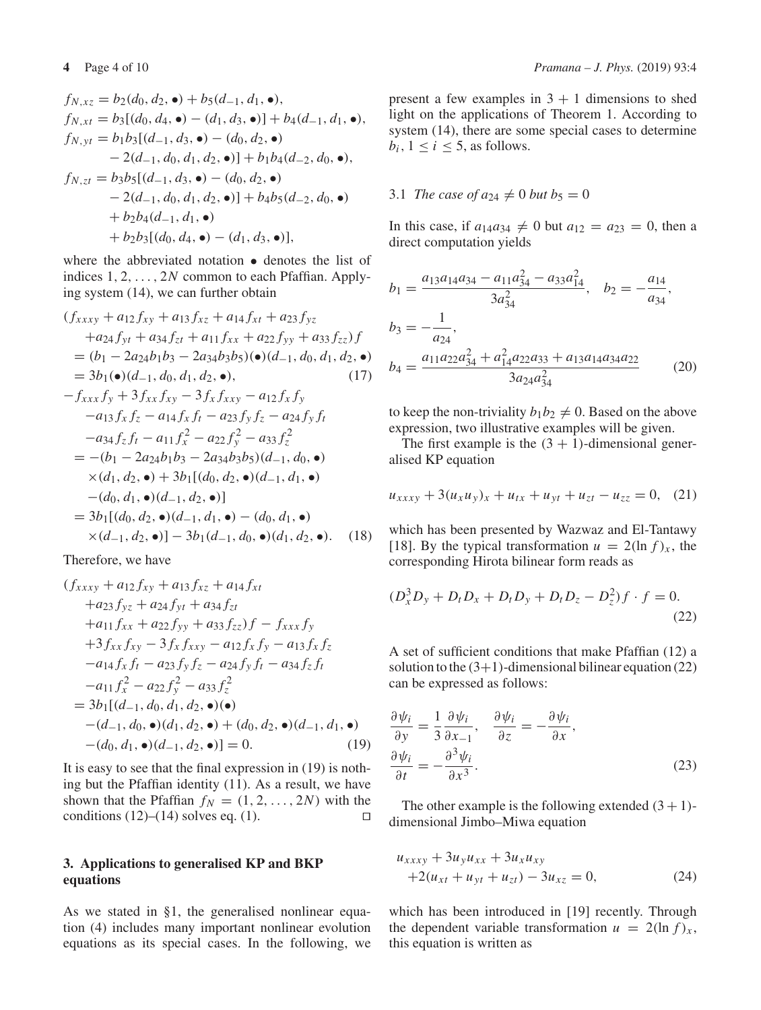$$
f_{N,xz} = b_2(d_0, d_2, \bullet) + b_5(d_{-1}, d_1, \bullet),
$$
  
\n
$$
f_{N,xt} = b_3[(d_0, d_4, \bullet) - (d_1, d_3, \bullet)] + b_4(d_{-1}, d_1, \bullet),
$$
  
\n
$$
f_{N,yt} = b_1b_3[(d_{-1}, d_3, \bullet) - (d_0, d_2, \bullet)
$$
  
\n
$$
- 2(d_{-1}, d_0, d_1, d_2, \bullet)] + b_1b_4(d_{-2}, d_0, \bullet),
$$
  
\n
$$
f_{N,zt} = b_3b_5[(d_{-1}, d_3, \bullet) - (d_0, d_2, \bullet)
$$
  
\n
$$
- 2(d_{-1}, d_0, d_1, d_2, \bullet)] + b_4b_5(d_{-2}, d_0, \bullet)
$$
  
\n
$$
+ b_2b_4(d_{-1}, d_1, \bullet)
$$
  
\n
$$
+ b_2b_3[(d_0, d_4, \bullet) - (d_1, d_3, \bullet)],
$$

where the abbreviated notation • denotes the list of indices 1, 2, ..., 2*N* common to each Pfaffian. Applying system (14), we can further obtain

$$
(f_{xxxy} + a_{12}f_{xy} + a_{13}f_{xz} + a_{14}f_{xt} + a_{23}f_{yz}
$$
  
\n+ $a_{24}f_{yt} + a_{34}f_{zt} + a_{11}f_{xx} + a_{22}f_{yy} + a_{33}f_{zz})f$   
\n=  $(b_1 - 2a_{24}b_1b_3 - 2a_{34}b_3b_5)(\bullet)(d_{-1}, d_0, d_1, d_2, \bullet)$   
\n=  $3b_1(\bullet)(d_{-1}, d_0, d_1, d_2, \bullet),$   
\n- $f_{xxx}f_y + 3f_{xx}f_{xy} - 3f_xf_{xxy} - a_{12}f_xf_y$   
\n- $a_{13}f_xf_z - a_{14}f_xf_t - a_{23}f_yf_z - a_{24}f_yf_t$   
\n- $a_{34}f_zf_t - a_{11}f_x^2 - a_{22}f_y^2 - a_{33}f_z^2$   
\n=  $-(b_1 - 2a_{24}b_1b_3 - 2a_{34}b_3b_5)(d_{-1}, d_0, \bullet)$   
\n $\times(d_1, d_2, \bullet) + 3b_1[(d_0, d_2, \bullet)(d_{-1}, d_1, \bullet)$   
\n- $(d_0, d_1, \bullet)(d_{-1}, d_2, \bullet)]$   
\n=  $3b_1[(d_0, d_2, \bullet)(d_{-1}, d_1, \bullet) - (d_0, d_1, \bullet)$   
\n $\times(d_{-1}, d_2, \bullet)] - 3b_1(d_{-1}, d_0, \bullet)(d_1, d_2, \bullet).$  (18)

Therefore, we have

$$
(f_{xxxy} + a_{12}f_{xy} + a_{13}f_{xz} + a_{14}f_{xt} \n+ a_{23}f_{yz} + a_{24}f_{yt} + a_{34}f_{zt} \n+ a_{11}f_{xx} + a_{22}f_{yy} + a_{33}f_{zz})f - f_{xxx}f_y \n+ 3f_{xx}f_{xy} - 3f_x f_{xxy} - a_{12}f_xf_y - a_{13}f_xf_z \n- a_{14}f_xf_t - a_{23}f_yf_z - a_{24}f_yf_t - a_{34}f_zf_t \n- a_{11}f_x^2 - a_{22}f_y^2 - a_{33}f_z^2 \n= 3b_1[(d_{-1}, d_0, d_1, d_2, \bullet)(\bullet) \n-(d_{-1}, d_0, \bullet)(d_1, d_2, \bullet) + (d_0, d_2, \bullet)(d_{-1}, d_1, \bullet) \n-(d_0, d_1, \bullet)(d_{-1}, d_2, \bullet)] = 0.
$$
\n(19)

It is easy to see that the final expression in (19) is nothing but the Pfaffian identity (11). As a result, we have shown that the Pfaffian  $f_N = (1, 2, ..., 2N)$  with the conditions (12)–(14) solves eq. (1). conditions  $(12)$ – $(14)$  solves eq.  $(1)$ .

# **3. Applications to generalised KP and BKP equations**

As we stated in §1, the generalised nonlinear equation (4) includes many important nonlinear evolution equations as its special cases. In the following, we present a few examples in  $3 + 1$  dimensions to shed light on the applications of Theorem 1. According to system (14), there are some special cases to determine  $b_i$ ,  $1 \leq i \leq 5$ , as follows.

## 3.1 *The case of*  $a_{24} \neq 0$  *but*  $b_5 = 0$

In this case, if  $a_{14}a_{34} \neq 0$  but  $a_{12} = a_{23} = 0$ , then a direct computation yields

$$
b_1 = \frac{a_{13}a_{14}a_{34} - a_{11}a_{34}^2 - a_{33}a_{14}^2}{3a_{34}^2}, \quad b_2 = -\frac{a_{14}}{a_{34}},
$$
  
\n
$$
b_3 = -\frac{1}{a_{24}},
$$
  
\n
$$
b_4 = \frac{a_{11}a_{22}a_{34}^2 + a_{14}^2a_{22}a_{33} + a_{13}a_{14}a_{34}a_{22}}{3a_{24}a_{34}^2}
$$
 (20)

to keep the non-triviality  $b_1b_2 \neq 0$ . Based on the above expression, two illustrative examples will be given.

The first example is the  $(3 + 1)$ -dimensional generalised KP equation

$$
u_{xxxy} + 3(u_xu_y)_x + u_{tx} + u_{yt} + u_{zt} - u_{zz} = 0, \quad (21)
$$

which has been presented by Wazwaz and El-Tantawy [18]. By the typical transformation  $u = 2(\ln f)_x$ , the corresponding Hirota bilinear form reads as

$$
(D_x^3 D_y + D_t D_x + D_t D_y + D_t D_z - D_z^2) f \cdot f = 0.
$$
\n(22)

A set of sufficient conditions that make Pfaffian (12) a solution to the  $(3+1)$ -dimensional bilinear equation (22) can be expressed as follows:

$$
\frac{\partial \psi_i}{\partial y} = \frac{1}{3} \frac{\partial \psi_i}{\partial x_{-1}}, \quad \frac{\partial \psi_i}{\partial z} = -\frac{\partial \psi_i}{\partial x}, \n\frac{\partial \psi_i}{\partial t} = -\frac{\partial^3 \psi_i}{\partial x^3}.
$$
\n(23)

The other example is the following extended  $(3 + 1)$ dimensional Jimbo–Miwa equation

$$
u_{xxxxy} + 3u_y u_{xx} + 3u_x u_{xy}
$$
  
+2(u\_{xt} + u\_{yt} + u\_{zt}) - 3u\_{xz} = 0, (24)

which has been introduced in [19] recently. Through the dependent variable transformation  $u = 2(\ln f)_x$ , this equation is written as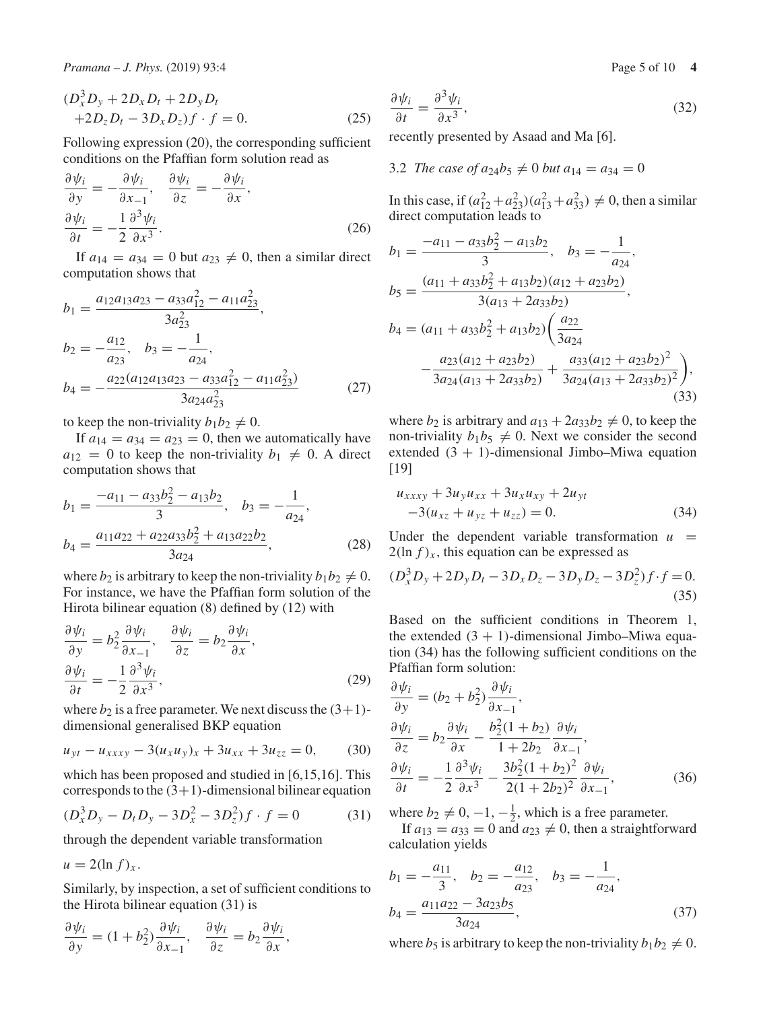*Pramana – J. Phys.* (2019) 93:4 **Page 5 of 10 <b>4** Page 5 of 10 **4** 

$$
(D_x^3 D_y + 2D_x D_t + 2D_y D_t + 2D_z D_t - 3D_x D_z)f \cdot f = 0.
$$
 (25)

Following expression (20), the corresponding sufficient conditions on the Pfaffian form solution read as

$$
\frac{\partial \psi_i}{\partial y} = -\frac{\partial \psi_i}{\partial x_{-1}}, \quad \frac{\partial \psi_i}{\partial z} = -\frac{\partial \psi_i}{\partial x},
$$
  

$$
\frac{\partial \psi_i}{\partial t} = -\frac{1}{2} \frac{\partial^3 \psi_i}{\partial x^3}.
$$
 (26)

If  $a_{14} = a_{34} = 0$  but  $a_{23} \neq 0$ , then a similar direct computation shows that

$$
b_1 = \frac{a_{12}a_{13}a_{23} - a_{33}a_{12}^2 - a_{11}a_{23}^2}{3a_{23}^2},
$$
  
\n
$$
b_2 = -\frac{a_{12}}{a_{23}}, \quad b_3 = -\frac{1}{a_{24}},
$$
  
\n
$$
b_4 = -\frac{a_{22}(a_{12}a_{13}a_{23} - a_{33}a_{12}^2 - a_{11}a_{23}^2)}{3a_{24}a_{23}^2}
$$
(27)

to keep the non-triviality  $b_1b_2 \neq 0$ .

If  $a_{14} = a_{34} = a_{23} = 0$ , then we automatically have  $a_{12} = 0$  to keep the non-triviality  $b_1 \neq 0$ . A direct computation shows that

$$
b_1 = \frac{-a_{11} - a_{33}b_2^2 - a_{13}b_2}{3}, \quad b_3 = -\frac{1}{a_{24}},
$$
  

$$
b_4 = \frac{a_{11}a_{22} + a_{22}a_{33}b_2^2 + a_{13}a_{22}b_2}{3a_{24}},
$$
 (28)

where  $b_2$  is arbitrary to keep the non-triviality  $b_1b_2 \neq 0$ . For instance, we have the Pfaffian form solution of the Hirota bilinear equation (8) defined by (12) with

$$
\frac{\partial \psi_i}{\partial y} = b_2^2 \frac{\partial \psi_i}{\partial x_{-1}}, \quad \frac{\partial \psi_i}{\partial z} = b_2 \frac{\partial \psi_i}{\partial x}, \n\frac{\partial \psi_i}{\partial t} = -\frac{1}{2} \frac{\partial^3 \psi_i}{\partial x^3},
$$
\n(29)

where  $b_2$  is a free parameter. We next discuss the  $(3+1)$ dimensional generalised BKP equation

$$
u_{yt} - u_{xxxy} - 3(u_x u_y)_x + 3u_{xx} + 3u_{zz} = 0, \t(30)
$$

which has been proposed and studied in [6,15,16]. This corresponds to the  $(3+1)$ -dimensional bilinear equation

$$
(D_x^3 D_y - D_t D_y - 3D_x^2 - 3D_z^2) f \cdot f = 0 \tag{31}
$$

through the dependent variable transformation

 $u = 2(\ln f)_x$ .

Similarly, by inspection, a set of sufficient conditions to the Hirota bilinear equation (31) is

$$
\frac{\partial \psi_i}{\partial y} = (1 + b_2^2) \frac{\partial \psi_i}{\partial x_{-1}}, \quad \frac{\partial \psi_i}{\partial z} = b_2 \frac{\partial \psi_i}{\partial x},
$$

$$
\frac{\partial \psi_i}{\partial t} = \frac{\partial^3 \psi_i}{\partial x^3},\tag{32}
$$

recently presented by Asaad and Ma [6].

3.2 The case of 
$$
a_{24}b_5 \neq 0
$$
 but  $a_{14} = a_{34} = 0$ 

In this case, if  $(a_{12}^2 + a_{23}^2)(a_{13}^2 + a_{33}^2) \neq 0$ , then a similar direct computation leads to

$$
b_1 = \frac{-a_{11} - a_{33}b_2^2 - a_{13}b_2}{3}, \quad b_3 = -\frac{1}{a_{24}},
$$
  
\n
$$
b_5 = \frac{(a_{11} + a_{33}b_2^2 + a_{13}b_2)(a_{12} + a_{23}b_2)}{3(a_{13} + 2a_{33}b_2)},
$$
  
\n
$$
b_4 = (a_{11} + a_{33}b_2^2 + a_{13}b_2)\left(\frac{a_{22}}{3a_{24}}\right.\n-\frac{a_{23}(a_{12} + a_{23}b_2)}{3a_{24}(a_{13} + 2a_{33}b_2)} + \frac{a_{33}(a_{12} + a_{23}b_2)^2}{3a_{24}(a_{13} + 2a_{33}b_2)^2},
$$
  
\n(33)

where  $b_2$  is arbitrary and  $a_{13} + 2a_{33}b_2 \neq 0$ , to keep the non-triviality  $b_1b_5 \neq 0$ . Next we consider the second extended  $(3 + 1)$ -dimensional Jimbo–Miwa equation [19]

$$
u_{xxxxy} + 3u_y u_{xx} + 3u_x u_{xy} + 2u_{yt}
$$
  
-3(u\_{xz} + u\_{yz} + u\_{zz}) = 0. (34)

Under the dependent variable transformation  $u =$  $2(\ln f)_x$ , this equation can be expressed as

$$
(D_x^3 D_y + 2D_y D_t - 3D_x D_z - 3D_y D_z - 3D_z^2) f \cdot f = 0.
$$
\n(35)

Based on the sufficient conditions in Theorem 1, the extended  $(3 + 1)$ -dimensional Jimbo–Miwa equation (34) has the following sufficient conditions on the Pfaffian form solution:

$$
\frac{\partial \psi_i}{\partial y} = (b_2 + b_2^2) \frac{\partial \psi_i}{\partial x_{-1}},
$$
  
\n
$$
\frac{\partial \psi_i}{\partial z} = b_2 \frac{\partial \psi_i}{\partial x} - \frac{b_2^2 (1 + b_2)}{1 + 2b_2} \frac{\partial \psi_i}{\partial x_{-1}},
$$
  
\n
$$
\frac{\partial \psi_i}{\partial t} = -\frac{1}{2} \frac{\partial^3 \psi_i}{\partial x^3} - \frac{3b_2^2 (1 + b_2)^2}{2(1 + 2b_2)^2} \frac{\partial \psi_i}{\partial x_{-1}},
$$
(36)

where  $b_2 \neq 0, -1, -\frac{1}{2}$ , which is a free parameter.

If  $a_{13} = a_{33} = 0$  and  $a_{23} \neq 0$ , then a straightforward calculation yields

$$
b_1 = -\frac{a_{11}}{3}, \quad b_2 = -\frac{a_{12}}{a_{23}}, \quad b_3 = -\frac{1}{a_{24}}, b_4 = \frac{a_{11}a_{22} - 3a_{23}b_5}{3a_{24}},
$$
(37)

where  $b_5$  is arbitrary to keep the non-triviality  $b_1b_2 \neq 0$ .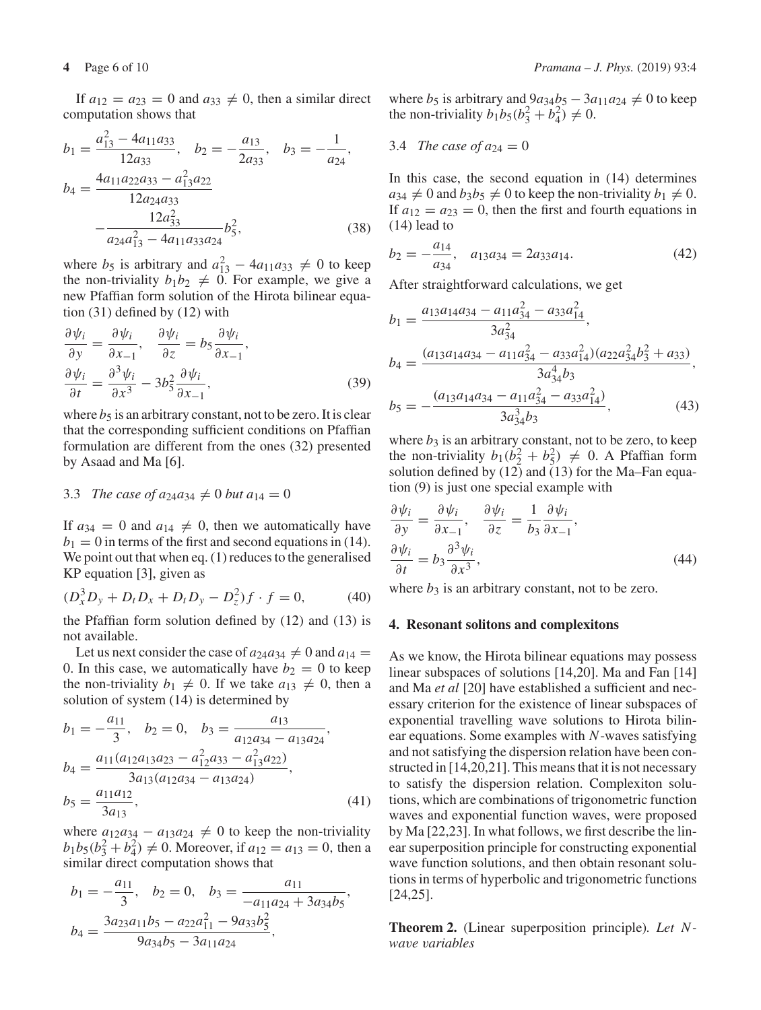If  $a_{12} = a_{23} = 0$  and  $a_{33} \neq 0$ , then a similar direct computation shows that

$$
b_1 = \frac{a_{13}^2 - 4a_{11}a_{33}}{12a_{33}}, \quad b_2 = -\frac{a_{13}}{2a_{33}}, \quad b_3 = -\frac{1}{a_{24}},
$$
  
\n
$$
b_4 = \frac{4a_{11}a_{22}a_{33} - a_{13}^2a_{22}}{12a_{24}a_{33}} - \frac{12a_{33}^2}{a_{24}a_{13}^2 - 4a_{11}a_{33}a_{24}} b_5^2,
$$
\n(38)

where  $b_5$  is arbitrary and  $a_{13}^2 - 4a_{11}a_{33} \neq 0$  to keep the non-triviality  $b_1b_2 \neq 0$ . For example, we give a new Pfaffian form solution of the Hirota bilinear equation (31) defined by (12) with

$$
\frac{\partial \psi_i}{\partial y} = \frac{\partial \psi_i}{\partial x_{-1}}, \quad \frac{\partial \psi_i}{\partial z} = b_5 \frac{\partial \psi_i}{\partial x_{-1}},
$$
  

$$
\frac{\partial \psi_i}{\partial t} = \frac{\partial^3 \psi_i}{\partial x^3} - 3b_5^2 \frac{\partial \psi_i}{\partial x_{-1}},
$$
 (39)

where  $b_5$  is an arbitrary constant, not to be zero. It is clear that the corresponding sufficient conditions on Pfaffian formulation are different from the ones (32) presented by Asaad and Ma [6].

### 3.3 *The case of*  $a_{24}a_{34} \neq 0$  *but*  $a_{14} = 0$

If  $a_{34} = 0$  and  $a_{14} \neq 0$ , then we automatically have  $b_1 = 0$  in terms of the first and second equations in (14). We point out that when eq. (1) reduces to the generalised KP equation [3], given as

$$
(D_x^3 D_y + D_t D_x + D_t D_y - D_z^2) f \cdot f = 0,
$$
 (40)

the Pfaffian form solution defined by (12) and (13) is not available.

Let us next consider the case of  $a_{24}a_{34} \neq 0$  and  $a_{14} =$ 0. In this case, we automatically have  $b_2 = 0$  to keep the non-triviality  $b_1 \neq 0$ . If we take  $a_{13} \neq 0$ , then a solution of system (14) is determined by

$$
b_1 = -\frac{a_{11}}{3}, \quad b_2 = 0, \quad b_3 = \frac{a_{13}}{a_{12}a_{34} - a_{13}a_{24}},
$$
  
\n
$$
b_4 = \frac{a_{11}(a_{12}a_{13}a_{23} - a_{12}^2a_{33} - a_{13}^2a_{22})}{3a_{13}(a_{12}a_{34} - a_{13}a_{24})},
$$
  
\n
$$
b_5 = \frac{a_{11}a_{12}}{3a_{13}},
$$
\n(41)

where  $a_{12}a_{34} - a_{13}a_{24} \neq 0$  to keep the non-triviality  $b_1b_5(b_3^2 + b_4^2) \neq 0$ . Moreover, if  $a_{12} = a_{13} = 0$ , then a similar direct computation shows that

$$
b_1 = -\frac{a_{11}}{3}, \quad b_2 = 0, \quad b_3 = \frac{a_{11}}{-a_{11}a_{24} + 3a_{34}b_5},
$$

$$
b_4 = \frac{3a_{23}a_{11}b_5 - a_{22}a_{11}^2 - 9a_{33}b_5^2}{9a_{34}b_5 - 3a_{11}a_{24}},
$$

where  $b_5$  is arbitrary and  $9a_{34}b_5 - 3a_{11}a_{24} \neq 0$  to keep the non-triviality  $b_1b_5(b_3^2 + b_4^2) \neq 0$ .

3.4 The case of 
$$
a_{24} = 0
$$

In this case, the second equation in (14) determines  $a_{34} \neq 0$  and  $b_3b_5 \neq 0$  to keep the non-triviality  $b_1 \neq 0$ . If  $a_{12} = a_{23} = 0$ , then the first and fourth equations in (14) lead to

$$
b_2 = -\frac{a_{14}}{a_{34}}, \quad a_{13}a_{34} = 2a_{33}a_{14}.\tag{42}
$$

After straightforward calculations, we get

$$
b_1 = \frac{a_{13}a_{14}a_{34} - a_{11}a_{34}^2 - a_{33}a_{14}^2}{3a_{34}^2},
$$
  
\n
$$
b_4 = \frac{(a_{13}a_{14}a_{34} - a_{11}a_{34}^2 - a_{33}a_{14}^2)(a_{22}a_{34}^2b_3^2 + a_{33})}{3a_{34}^4b_3},
$$
  
\n
$$
b_5 = -\frac{(a_{13}a_{14}a_{34} - a_{11}a_{34}^2 - a_{33}a_{14}^2)}{3a_{34}^3b_3},
$$
\n(43)

where  $b_3$  is an arbitrary constant, not to be zero, to keep the non-triviality  $b_1(b_2^2 + b_5^2) \neq 0$ . A Pfaffian form solution defined by  $(12)$  and  $(13)$  for the Ma–Fan equation (9) is just one special example with

$$
\frac{\partial \psi_i}{\partial y} = \frac{\partial \psi_i}{\partial x_{-1}}, \quad \frac{\partial \psi_i}{\partial z} = \frac{1}{b_3} \frac{\partial \psi_i}{\partial x_{-1}},
$$
  

$$
\frac{\partial \psi_i}{\partial t} = b_3 \frac{\partial^3 \psi_i}{\partial x^3},
$$
 (44)

where  $b_3$  is an arbitrary constant, not to be zero.

#### **4. Resonant solitons and complexitons**

As we know, the Hirota bilinear equations may possess linear subspaces of solutions [14,20]. Ma and Fan [14] and Ma *et al* [20] have established a sufficient and necessary criterion for the existence of linear subspaces of exponential travelling wave solutions to Hirota bilinear equations. Some examples with *N*-waves satisfying and not satisfying the dispersion relation have been constructed in [14,20,21]. This means that it is not necessary to satisfy the dispersion relation. Complexiton solutions, which are combinations of trigonometric function waves and exponential function waves, were proposed by Ma [22,23]. In what follows, we first describe the linear superposition principle for constructing exponential wave function solutions, and then obtain resonant solutions in terms of hyperbolic and trigonometric functions [24,25].

**Theorem 2.** (Linear superposition principle)*. Let Nwave variables*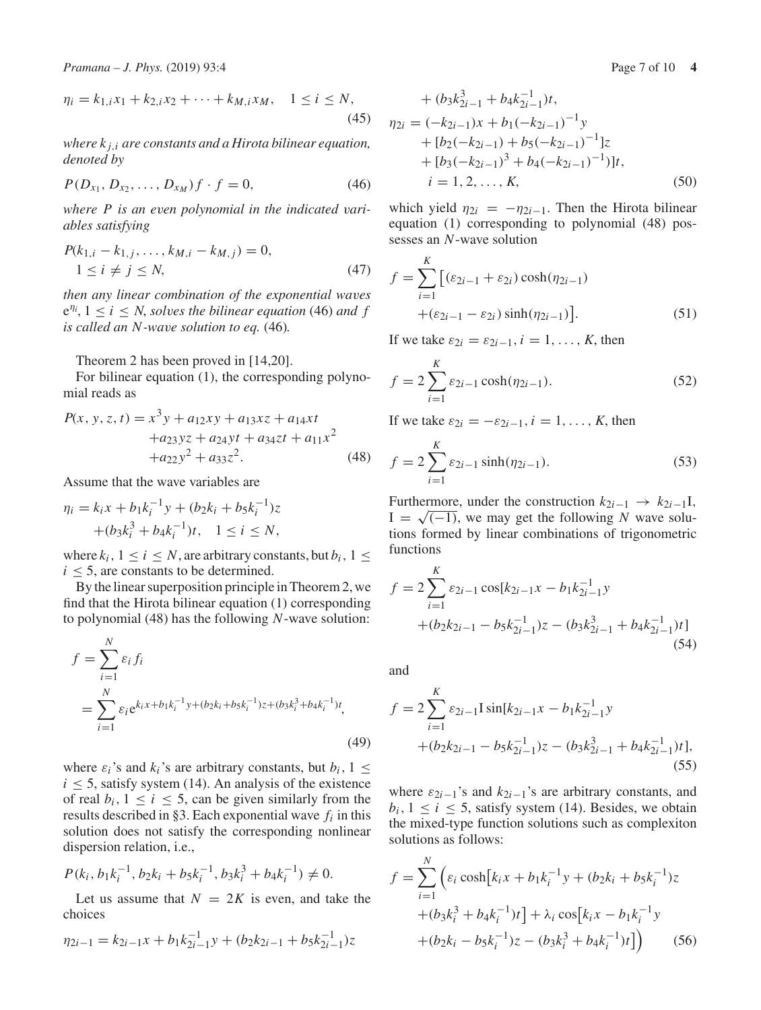$$
\eta_i = k_{1,i}x_1 + k_{2,i}x_2 + \dots + k_{M,i}x_M, \quad 1 \le i \le N,
$$
\n(45)

*where k <sup>j</sup>*,*<sup>i</sup> are constants and a Hirota bilinear equation, denoted by*

$$
P(D_{x_1}, D_{x_2}, \dots, D_{x_M})f \cdot f = 0,
$$
\n(46)

*where P is an even polynomial in the indicated variables satisfying*

$$
P(k_{1,i} - k_{1,j}, \dots, k_{M,i} - k_{M,j}) = 0,
$$
  
 
$$
1 \le i \ne j \le N,
$$
 (47)

*then any linear combination of the exponential waves*  $e^{\eta_i}$ ,  $1 \leq i \leq N$ , *solves the bilinear equation* (46) *and f is called an N-wave solution to eq.* (46)*.*

Theorem 2 has been proved in [14,20].

For bilinear equation (1), the corresponding polynomial reads as

$$
P(x, y, z, t) = x3y + a12xy + a13xz + a14xt + a23yz + a24yt + a34zt + a11x2 + a22y2 + a33z2.
$$
 (48)

Assume that the wave variables are

$$
\eta_i = k_i x + b_1 k_i^{-1} y + (b_2 k_i + b_5 k_i^{-1}) z + (b_3 k_i^3 + b_4 k_i^{-1}) t, \quad 1 \le i \le N,
$$

where  $k_i$ ,  $1 \le i \le N$ , are arbitrary constants, but  $b_i$ ,  $1 \le$  $i \leq 5$ , are constants to be determined.

By the linear superposition principle in Theorem 2, we find that the Hirota bilinear equation (1) corresponding to polynomial (48) has the following *N*-wave solution:

$$
f = \sum_{i=1}^{N} \varepsilon_i f_i
$$
  
= 
$$
\sum_{i=1}^{N} \varepsilon_i e^{k_i x + b_1 k_i^{-1} y + (b_2 k_i + b_5 k_i^{-1}) z + (b_3 k_i^3 + b_4 k_i^{-1}) t},
$$
  
(49)

where  $\varepsilon_i$ 's and  $k_i$ 's are arbitrary constants, but  $b_i$ ,  $1 \leq$  $i \leq 5$ , satisfy system (14). An analysis of the existence of real  $b_i$ ,  $1 \le i \le 5$ , can be given similarly from the results described in §3. Each exponential wave *fi* in this solution does not satisfy the corresponding nonlinear dispersion relation, i.e.,

$$
P(k_i, b_1k_i^{-1}, b_2k_i + b_5k_i^{-1}, b_3k_i^3 + b_4k_i^{-1}) \neq 0.
$$

Let us assume that  $N = 2K$  is even, and take the choices

$$
\eta_{2i-1} = k_{2i-1}x + b_1k_{2i-1}^{-1}y + (b_2k_{2i-1} + b_5k_{2i-1}^{-1})z
$$

+ 
$$
(b_3k_{2i-1}^3 + b_4k_{2i-1}^{-1})t
$$
,  
\n
$$
\eta_{2i} = (-k_{2i-1})x + b_1(-k_{2i-1})^{-1}y + [b_2(-k_{2i-1}) + b_5(-k_{2i-1})^{-1}]z + [b_3(-k_{2i-1})^3 + b_4(-k_{2i-1})^{-1}]t
$$
,  
\n $i = 1, 2, ..., K$ , (50)

which yield  $\eta_{2i} = -\eta_{2i-1}$ . Then the Hirota bilinear equation (1) corresponding to polynomial (48) possesses an *N*-wave solution

$$
f = \sum_{i=1}^{K} \left[ (\varepsilon_{2i-1} + \varepsilon_{2i}) \cosh(\eta_{2i-1}) + (\varepsilon_{2i-1} - \varepsilon_{2i}) \sinh(\eta_{2i-1}) \right].
$$
 (51)

If we take  $\varepsilon_{2i} = \varepsilon_{2i-1}, i = 1, \ldots, K$ , then

$$
f = 2\sum_{i=1}^{K} \varepsilon_{2i-1} \cosh(\eta_{2i-1}).
$$
 (52)

If we take  $\varepsilon_{2i} = -\varepsilon_{2i-1}, i = 1, \ldots, K$ , then

$$
f = 2 \sum_{i=1}^{K} \varepsilon_{2i-1} \sinh(\eta_{2i-1}).
$$
 (53)

Furthermore, under the construction  $k_{2i-1} \rightarrow k_{2i-1}$ I,  $I = \sqrt{(-1)}$ , we may get the following *N* wave solutions formed by linear combinations of trigonometric functions

$$
f = 2 \sum_{i=1}^{K} \varepsilon_{2i-1} \cos[k_{2i-1}x - b_1k_{2i-1}^{-1}y + (b_2k_{2i-1} - b_5k_{2i-1}^{-1})z - (b_3k_{2i-1}^3 + b_4k_{2i-1}^{-1})t]
$$
\n(54)

and

$$
f = 2\sum_{i=1}^{K} \varepsilon_{2i-1} \text{sin}[k_{2i-1}x - b_1k_{2i-1}^{-1}y + (b_2k_{2i-1} - b_5k_{2i-1}^{-1})z - (b_3k_{2i-1}^3 + b_4k_{2i-1}^{-1})t],
$$
\n(55)

where  $\varepsilon_{2i-1}$ 's and  $k_{2i-1}$ 's are arbitrary constants, and  $b_i$ ,  $1 \le i \le 5$ , satisfy system (14). Besides, we obtain the mixed-type function solutions such as complexiton solutions as follows:

$$
f = \sum_{i=1}^{N} \left( \varepsilon_i \cosh[k_i x + b_1 k_i^{-1} y + (b_2 k_i + b_5 k_i^{-1}) z + (b_3 k_i^3 + b_4 k_i^{-1}) t \right) + \lambda_i \cos[k_i x - b_1 k_i^{-1} y + (b_2 k_i - b_5 k_i^{-1}) z - (b_3 k_i^3 + b_4 k_i^{-1}) t] \right)
$$
 (56)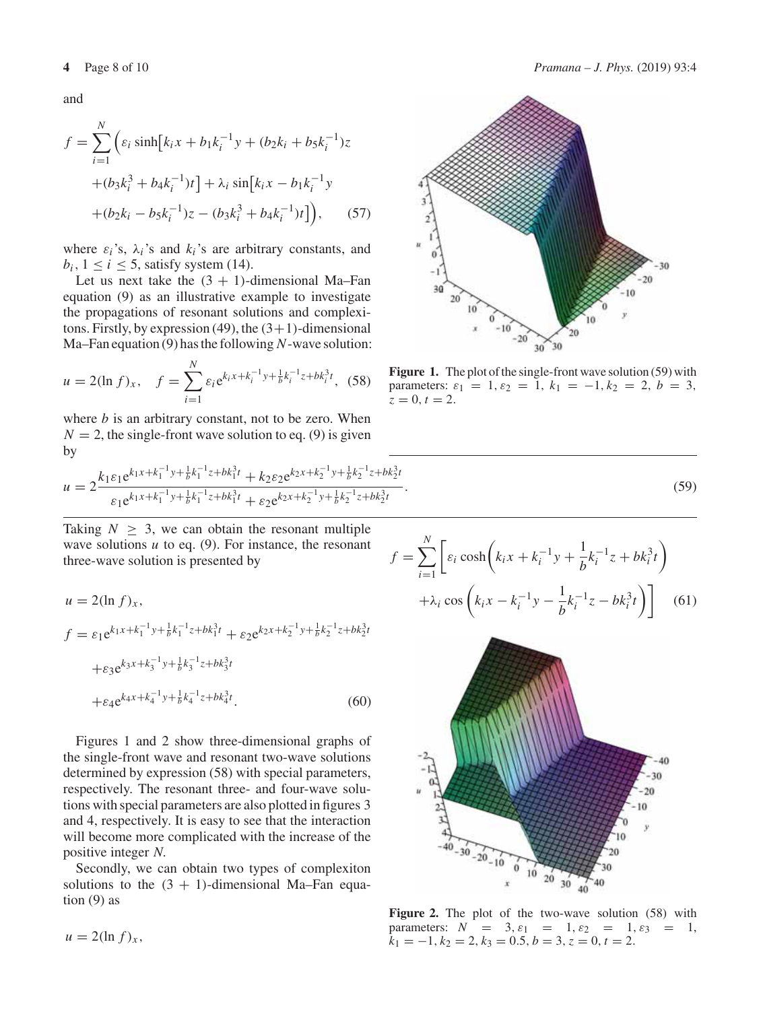$$
f = \sum_{i=1}^{N} \left( \varepsilon_i \sinh[k_i x + b_1 k_i^{-1} y + (b_2 k_i + b_5 k_i^{-1}) z + (b_3 k_i^3 + b_4 k_i^{-1}) t \right) + \lambda_i \sin[k_i x - b_1 k_i^{-1} y + (b_2 k_i - b_5 k_i^{-1}) z - (b_3 k_i^3 + b_4 k_i^{-1}) t] \right), \quad (57)
$$

where  $\varepsilon_i$ 's,  $\lambda_i$ 's and  $k_i$ 's are arbitrary constants, and  $b_i$ ,  $1 \le i \le 5$ , satisfy system (14).

Let us next take the  $(3 + 1)$ -dimensional Ma–Fan equation (9) as an illustrative example to investigate the propagations of resonant solutions and complexitons. Firstly, by expression (49), the  $(3+1)$ -dimensional Ma–Fan equation (9) has the following *N*-wave solution:

$$
u = 2(\ln f)_x, \quad f = \sum_{i=1}^{N} \varepsilon_i e^{k_i x + k_i^{-1} y + \frac{1}{b} k_i^{-1} z + b k_i^3 t}, \tag{58}
$$

where  $b$  is an arbitrary constant, not to be zero. When  $N = 2$ , the single-front wave solution to eq. (9) is given by

$$
u = 2 \frac{k_1 \varepsilon_1 e^{k_1 x + k_1^{-1} y + \frac{1}{b} k_1^{-1} z + b k_1^{3} t} + k_2 \varepsilon_2 e^{k_2 x + k_2^{-1} y + \frac{1}{b} k_2^{-1} z + b k_2^{3} t}}{\varepsilon_1 e^{k_1 x + k_1^{-1} y + \frac{1}{b} k_1^{-1} z + b k_1^{3} t} + \varepsilon_2 e^{k_2 x + k_2^{-1} y + \frac{1}{b} k_2^{-1} z + b k_2^{3} t}}
$$

Taking  $N \geq 3$ , we can obtain the resonant multiple wave solutions *u* to eq. (9). For instance, the resonant three-wave solution is presented by

$$
u = 2(\ln f)_x,
$$
  
\n
$$
f = \varepsilon_1 e^{k_1 x + k_1^{-1} y + \frac{1}{b} k_1^{-1} z + b k_1^{3} t} + \varepsilon_2 e^{k_2 x + k_2^{-1} y + \frac{1}{b} k_2^{-1} z + b k_2^{3} t}
$$
  
\n
$$
+ \varepsilon_3 e^{k_3 x + k_3^{-1} y + \frac{1}{b} k_3^{-1} z + b k_3^{3} t}
$$
  
\n
$$
+ \varepsilon_4 e^{k_4 x + k_4^{-1} y + \frac{1}{b} k_4^{-1} z + b k_4^{3} t}.
$$
\n(60)

Figures 1 and 2 show three-dimensional graphs of the single-front wave and resonant two-wave solutions determined by expression (58) with special parameters, respectively. The resonant three- and four-wave solutions with special parameters are also plotted in figures 3 and 4, respectively. It is easy to see that the interaction will become more complicated with the increase of the positive integer *N*.

Secondly, we can obtain two types of complexiton solutions to the  $(3 + 1)$ -dimensional Ma–Fan equation  $(9)$  as

 $u = 2(\ln f)_x$ ,





**Figure 1.** The plot of the single-front wave solution (59) with parameters:  $\varepsilon_1 = 1, \varepsilon_2 = 1, k_1 = -1, k_2 = 2, b = 3,$  $z = 0, t = 2.$ 

$$
\frac{2}{2t}.\tag{59}
$$

$$
f = \sum_{i=1}^{N} \left[ \varepsilon_i \cosh \left( k_i x + k_i^{-1} y + \frac{1}{b} k_i^{-1} z + b k_i^3 t \right) + \lambda_i \cos \left( k_i x - k_i^{-1} y - \frac{1}{b} k_i^{-1} z - b k_i^3 t \right) \right]
$$
(61)



**Figure 2.** The plot of the two-wave solution (58) with parameters:  $N = 3, \varepsilon_1 = 1, \varepsilon_2 = 1, \varepsilon_3 = 1,$  $\hat{k}_1 = -1, k_2 = 2, k_3 = 0.5, b = 3, z = 0, t = 2.$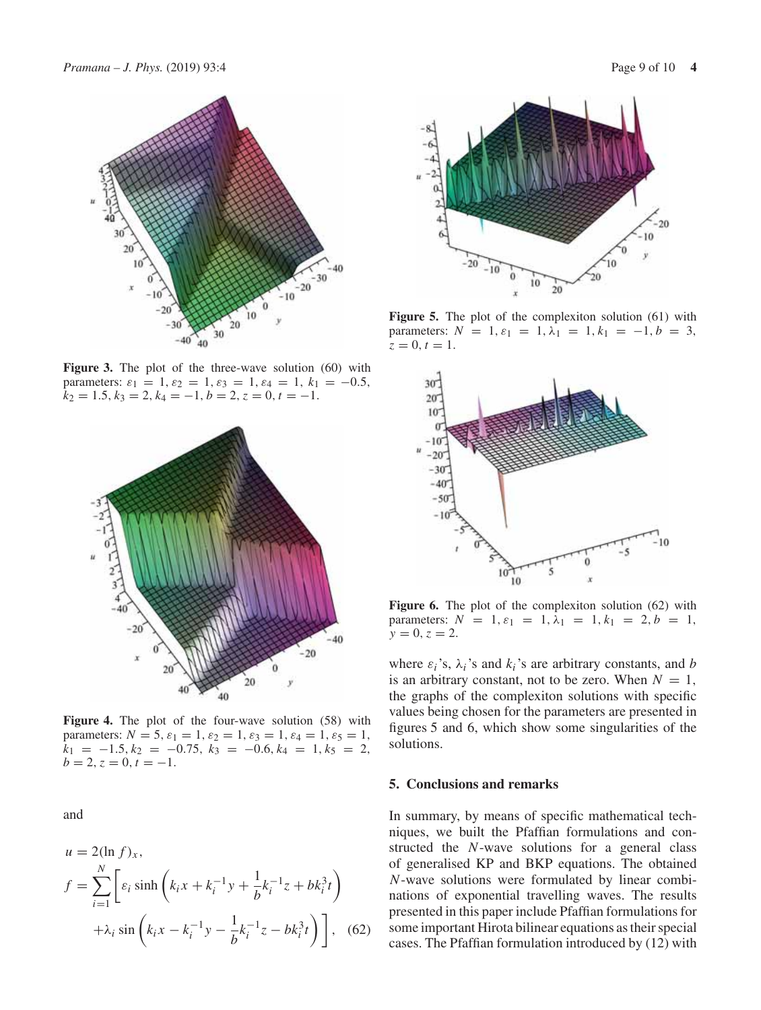

Figure 3. The plot of the three-wave solution (60) with parameters:  $\varepsilon_1 = 1$ ,  $\varepsilon_2 = 1$ ,  $\varepsilon_3 = 1$ ,  $\varepsilon_4 = 1$ ,  $k_1 = -0.5$ ,  $k_2 = 1.5, k_3 = 2, k_4 = -1, b = 2, z = 0, t = -1.$ 



**Figure 4.** The plot of the four-wave solution (58) with parameters:  $N = 5$ ,  $\varepsilon_1 = 1$ ,  $\varepsilon_2 = 1$ ,  $\varepsilon_3 = 1$ ,  $\varepsilon_4 = 1$ ,  $\varepsilon_5 = 1$ ,  $k_1 = -1.5, k_2 = -0.75, k_3 = -0.6, k_4 = 1, k_5 = 2,$  $b = 2, z = 0, t = -1.$ 

and

$$
u = 2(\ln f)_x,
$$
  
\n
$$
f = \sum_{i=1}^{N} \left[ \varepsilon_i \sinh \left( k_i x + k_i^{-1} y + \frac{1}{b} k_i^{-1} z + b k_i^3 t \right) + \lambda_i \sin \left( k_i x - k_i^{-1} y - \frac{1}{b} k_i^{-1} z - b k_i^3 t \right) \right],
$$
 (62)



Figure 5. The plot of the complexiton solution (61) with parameters:  $N = 1$ ,  $\varepsilon_1 = 1$ ,  $\lambda_1 = 1$ ,  $k_1 = -1$ ,  $b = 3$ ,  $z = 0, t = 1.$ 



**Figure 6.** The plot of the complexiton solution (62) with parameters:  $N = 1$ ,  $\varepsilon_1 = 1$ ,  $\lambda_1 = 1$ ,  $k_1 = 2$ ,  $b = 1$ ,  $y = 0, z = 2.$ 

where  $\varepsilon_i$ 's,  $\lambda_i$ 's and  $k_i$ 's are arbitrary constants, and *b* is an arbitrary constant, not to be zero. When  $N = 1$ , the graphs of the complexiton solutions with specific values being chosen for the parameters are presented in figures 5 and 6, which show some singularities of the solutions.

#### **5. Conclusions and remarks**

In summary, by means of specific mathematical techniques, we built the Pfaffian formulations and constructed the *N*-wave solutions for a general class of generalised KP and BKP equations. The obtained *N*-wave solutions were formulated by linear combinations of exponential travelling waves. The results presented in this paper include Pfaffian formulations for some important Hirota bilinear equations as their special cases. The Pfaffian formulation introduced by (12) with